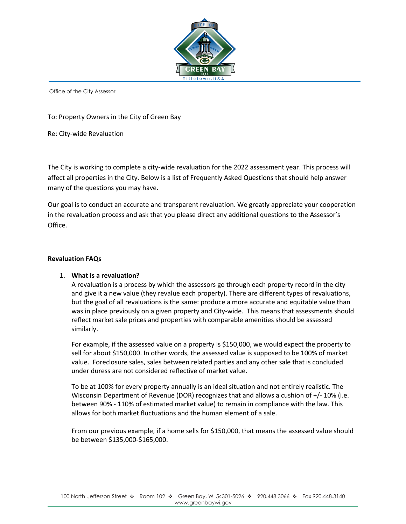

To: Property Owners in the City of Green Bay

Re: City-wide Revaluation

The City is working to complete a city-wide revaluation for the 2022 assessment year. This process will affect all properties in the City. Below is a list of Frequently Asked Questions that should help answer many of the questions you may have.

Our goal is to conduct an accurate and transparent revaluation. We greatly appreciate your cooperation in the revaluation process and ask that you please direct any additional questions to the Assessor's Office.

#### **Revaluation FAQs**

#### 1. **What is a revaluation?**

A revaluation is a process by which the assessors go through each property record in the city and give it a new value (they revalue each property). There are different types of revaluations, but the goal of all revaluations is the same: produce a more accurate and equitable value than was in place previously on a given property and City-wide. This means that assessments should reflect market sale prices and properties with comparable amenities should be assessed similarly.

For example, if the assessed value on a property is \$150,000, we would expect the property to sell for about \$150,000. In other words, the assessed value is supposed to be 100% of market value. Foreclosure sales, sales between related parties and any other sale that is concluded under duress are not considered reflective of market value.

To be at 100% for every property annually is an ideal situation and not entirely realistic. The Wisconsin Department of Revenue (DOR) recognizes that and allows a cushion of +/- 10% (i.e. between 90% - 110% of estimated market value) to remain in compliance with the law. This allows for both market fluctuations and the human element of a sale.

From our previous example, if a home sells for \$150,000, that means the assessed value should be between \$135,000-\$165,000.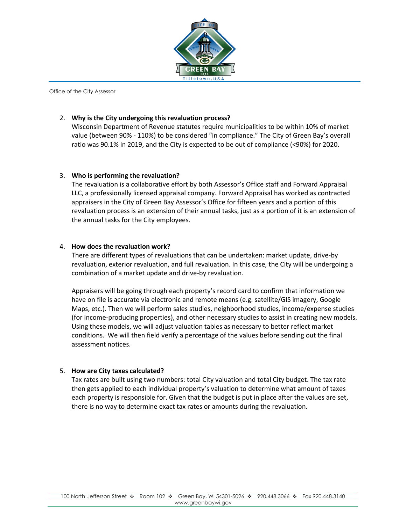

### 2. **Why is the City undergoing this revaluation process?**

Wisconsin Department of Revenue statutes require municipalities to be within 10% of market value (between 90% - 110%) to be considered "in compliance." The City of Green Bay's overall ratio was 90.1% in 2019, and the City is expected to be out of compliance (<90%) for 2020.

#### 3. **Who is performing the revaluation?**

The revaluation is a collaborative effort by both Assessor's Office staff and Forward Appraisal LLC, a professionally licensed appraisal company. Forward Appraisal has worked as contracted appraisers in the City of Green Bay Assessor's Office for fifteen years and a portion of this revaluation process is an extension of their annual tasks, just as a portion of it is an extension of the annual tasks for the City employees.

#### 4. **How does the revaluation work?**

There are different types of revaluations that can be undertaken: market update, drive-by revaluation, exterior revaluation, and full revaluation. In this case, the City will be undergoing a combination of a market update and drive-by revaluation.

Appraisers will be going through each property's record card to confirm that information we have on file is accurate via electronic and remote means (e.g. satellite/GIS imagery, Google Maps, etc.). Then we will perform sales studies, neighborhood studies, income/expense studies (for income-producing properties), and other necessary studies to assist in creating new models. Using these models, we will adjust valuation tables as necessary to better reflect market conditions. We will then field verify a percentage of the values before sending out the final assessment notices.

# 5. **How are City taxes calculated?**

Tax rates are built using two numbers: total City valuation and total City budget. The tax rate then gets applied to each individual property's valuation to determine what amount of taxes each property is responsible for. Given that the budget is put in place after the values are set, there is no way to determine exact tax rates or amounts during the revaluation.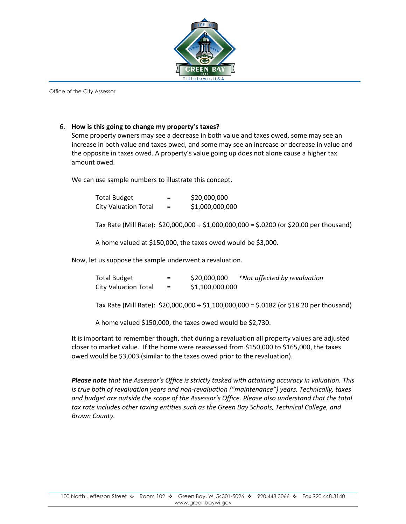

#### 6. **How is this going to change my property's taxes?**

Some property owners may see a decrease in both value and taxes owed, some may see an increase in both value and taxes owed, and some may see an increase or decrease in value and the opposite in taxes owed. A property's value going up does not alone cause a higher tax amount owed.

We can use sample numbers to illustrate this concept.

| <b>Total Budget</b>         | -<br>- | \$20,000,000    |
|-----------------------------|--------|-----------------|
| <b>City Valuation Total</b> | =      | \$1,000,000,000 |

Tax Rate (Mill Rate):  $$20,000,000 \div $1,000,000,000 = $.0200$  (or \$20.00 per thousand)

A home valued at \$150,000, the taxes owed would be \$3,000.

Now, let us suppose the sample underwent a revaluation.

| Total Budget                                              | $=$          | \$20,000,000    | *Not affected by revaluation                                                                  |
|-----------------------------------------------------------|--------------|-----------------|-----------------------------------------------------------------------------------------------|
| <b>City Valuation Total</b>                               | $\alpha = 1$ | \$1,100,000,000 |                                                                                               |
|                                                           |              |                 |                                                                                               |
|                                                           |              |                 | Tax Rate (Mill Rate): \$20,000,000 $\div$ \$1,100,000,000 = \$.0182 (or \$18.20 per thousand) |
|                                                           |              |                 |                                                                                               |
| A home valued \$150,000, the taxes owed would be \$2,730. |              |                 |                                                                                               |

It is important to remember though, that during a revaluation all property values are adjusted closer to market value. If the home were reassessed from \$150,000 to \$165,000, the taxes owed would be \$3,003 (similar to the taxes owed prior to the revaluation).

*Please note that the Assessor's Office is strictly tasked with attaining accuracy in valuation. This is true both of revaluation years and non-revaluation ("maintenance") years. Technically, taxes and budget are outside the scope of the Assessor's Office. Please also understand that the total tax rate includes other taxing entities such as the Green Bay Schools, Technical College, and Brown County.*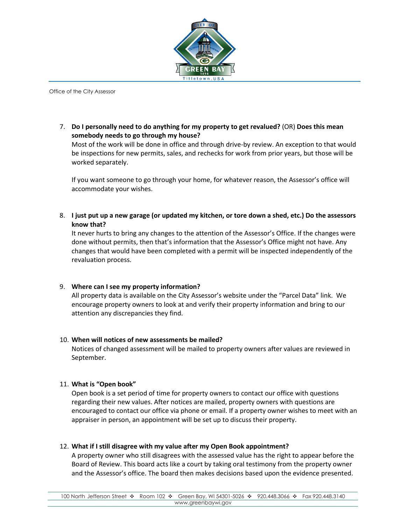

7. **Do I personally need to do anything for my property to get revalued?** (OR) **Does this mean somebody needs to go through my house?**

Most of the work will be done in office and through drive-by review. An exception to that would be inspections for new permits, sales, and rechecks for work from prior years, but those will be worked separately.

If you want someone to go through your home, for whatever reason, the Assessor's office will accommodate your wishes.

8. **I just put up a new garage (or updated my kitchen, or tore down a shed, etc.) Do the assessors know that?**

It never hurts to bring any changes to the attention of the Assessor's Office. If the changes were done without permits, then that's information that the Assessor's Office might not have. Any changes that would have been completed with a permit will be inspected independently of the revaluation process.

#### 9. **Where can I see my property information?**

All property data is available on the City Assessor's website under the "Parcel Data" link. We encourage property owners to look at and verify their property information and bring to our attention any discrepancies they find.

#### 10. **When will notices of new assessments be mailed?**

Notices of changed assessment will be mailed to property owners after values are reviewed in September.

#### 11. **What is "Open book"**

Open book is a set period of time for property owners to contact our office with questions regarding their new values. After notices are mailed, property owners with questions are encouraged to contact our office via phone or email. If a property owner wishes to meet with an appraiser in person, an appointment will be set up to discuss their property.

12. **What if I still disagree with my value after my Open Book appointment?**

A property owner who still disagrees with the assessed value has the right to appear before the Board of Review. This board acts like a court by taking oral testimony from the property owner and the Assessor's office. The board then makes decisions based upon the evidence presented.